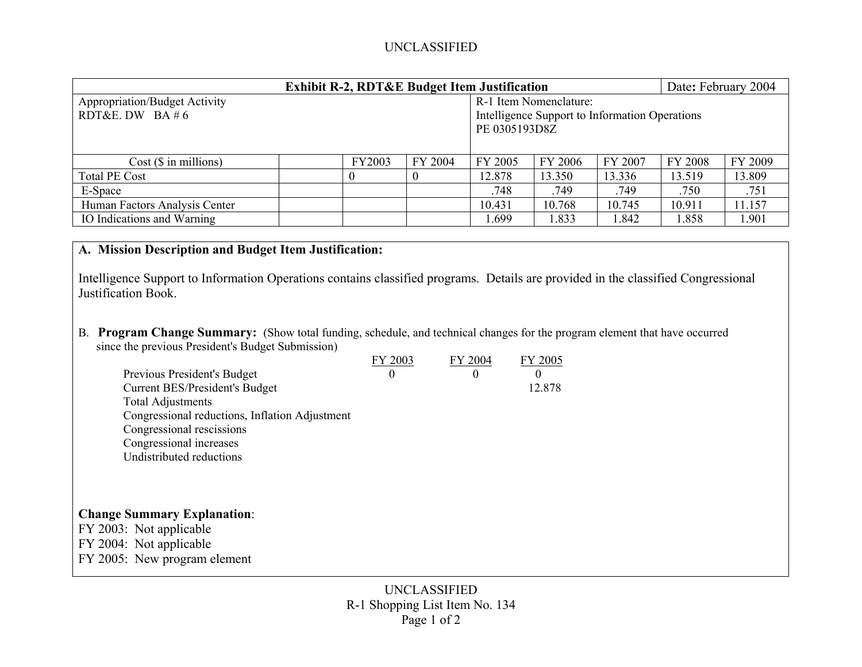## UNCLASSIFIED

| <b>Exhibit R-2, RDT&amp;E Budget Item Justification</b> |        |         |                                                |                        | Date: February 2004 |                |         |  |  |
|---------------------------------------------------------|--------|---------|------------------------------------------------|------------------------|---------------------|----------------|---------|--|--|
| <b>Appropriation/Budget Activity</b>                    |        |         |                                                | R-1 Item Nomenclature: |                     |                |         |  |  |
| RDT&E. DW BA # 6                                        |        |         | Intelligence Support to Information Operations |                        |                     |                |         |  |  |
|                                                         |        |         | PE 0305193D8Z                                  |                        |                     |                |         |  |  |
|                                                         |        |         |                                                |                        |                     |                |         |  |  |
| $Cost$ ( $\$\$ in millions)                             | FY2003 | FY 2004 | FY 2005                                        | FY 2006                | FY 2007             | <b>FY 2008</b> | FY 2009 |  |  |
| <b>Total PE Cost</b>                                    |        |         | 12.878                                         | 13.350                 | 13.336              | 13.519         | 13.809  |  |  |
| E-Space                                                 |        |         | .748                                           | .749                   | .749                | .750           | .751    |  |  |
| Human Factors Analysis Center                           |        |         | 10.431                                         | 10.768                 | 10.745              | 10.911         | 11.157  |  |  |
| IO Indications and Warning                              |        |         | .699                                           | 1.833                  | 1.842               | 1.858          | 1.901   |  |  |

## **A. Mission Description and Budget Item Justification:**

Intelligence Support to Information Operations contains classified programs. Details are provided in the classified Congressional Justification Book.

B. **Program Change Summary:** (Show total funding, schedule, and technical changes for the program element that have occurred since the previous President's Budget Submission)

| Previous President's Budget<br>Current BES/President's Budget<br><b>Total Adjustments</b><br>Congressional reductions, Inflation Adjustment<br>Congressional rescissions<br>Congressional increases<br>Undistributed reductions | FY 2003<br>$\theta$ | FY 2004<br>$\Omega$ | FY 2005<br>$\Omega$<br>12.878 |
|---------------------------------------------------------------------------------------------------------------------------------------------------------------------------------------------------------------------------------|---------------------|---------------------|-------------------------------|
| <b>Change Summary Explanation:</b><br>FY 2003: Not applicable<br>FY 2004: Not applicable<br>FY 2005: New program element                                                                                                        |                     |                     |                               |